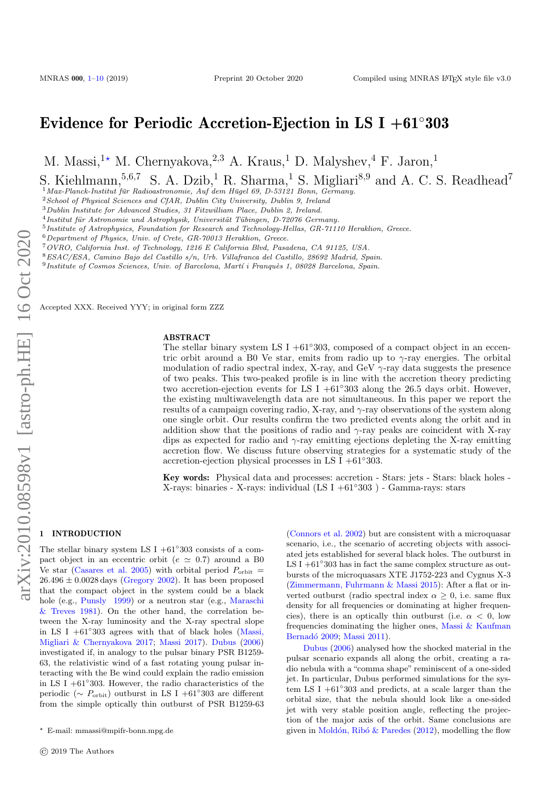# Evidence for Periodic Accretion-Ejection in LS I +61◦303

M. Massi,<sup>1\*</sup> M. Chernyakova,<sup>2,3</sup> A. Kraus,<sup>1</sup> D. Malyshev,<sup>4</sup> F. Jaron,<sup>1</sup>

S. Kiehlmann,<sup>5,6,7</sup> S. A. Dzib,<sup>1</sup> R. Sharma,<sup>1</sup> S. Migliari<sup>8,9</sup> and A. C. S. Readhead<sup>7</sup>

 $1$ Max-Planck-Institut für Radioastronomie, Auf dem Hügel 69, D-53121 Bonn, Germany.

<sup>2</sup>School of Physical Sciences and CfAR, Dublin City University, Dublin 9, Ireland

 $3$ Dublin Institute for Advanced Studies, 31 Fitzwilliam Place, Dublin 2, Ireland.

 $^{4}$ Institut für Astronomie und Astrophysik, Universität Tübingen, D-72076 Germany.

<sup>5</sup>Institute of Astrophysics, Foundation for Research and Technology-Hellas, GR-71110 Heraklion, Greece.

 $6$ Department of Physics, Univ. of Crete, GR-70013 Heraklion, Greece.

<sup>7</sup>OVRO, California Inst. of Technology, 1216 E California Blvd, Pasadena, CA 91125, USA.

<sup>8</sup>ESAC/ESA, Camino Bajo del Castillo s/n, Urb. Villafranca del Castillo, 28692 Madrid, Spain.

<sup>9</sup> Institute of Cosmos Sciences, Univ. of Barcelona, Martí i Franquès 1, 08028 Barcelona, Spain.

Accepted XXX. Received YYY; in original form ZZZ

#### ABSTRACT

The stellar binary system LS I +61<sup>°</sup>303, composed of a compact object in an eccentric orbit around a B0 Ve star, emits from radio up to  $\gamma$ -ray energies. The orbital modulation of radio spectral index, X-ray, and GeV  $\gamma$ -ray data suggests the presence of two peaks. This two-peaked profile is in line with the accretion theory predicting two accretion-ejection events for LS I +61◦303 along the 26.5 days orbit. However, the existing multiwavelength data are not simultaneous. In this paper we report the results of a campaign covering radio, X-ray, and  $\gamma$ -ray observations of the system along one single orbit. Our results confirm the two predicted events along the orbit and in addition show that the positions of radio and  $\gamma$ -ray peaks are coincident with X-ray dips as expected for radio and  $\gamma$ -ray emitting ejections depleting the X-ray emitting accretion flow. We discuss future observing strategies for a systematic study of the accretion-ejection physical processes in LS I + $61°303$ .

Key words: Physical data and processes: accretion - Stars: jets - Stars: black holes - X-rays: binaries - X-rays: individual (LS I +61◦303 ) - Gamma-rays: stars

## <span id="page-0-0"></span>1 INTRODUCTION

The stellar binary system LS I  $+61°303$  consists of a compact object in an eccentric orbit ( $e \approx 0.7$ ) around a B0 Ve star [\(Casares et al.](#page-8-0) [2005\)](#page-8-0) with orbital period  $P_{\text{orbit}} =$  $26.496 \pm 0.0028$  days [\(Gregory](#page-8-1) [2002\)](#page-8-1). It has been proposed that the compact object in the system could be a black hole (e.g., [Punsly](#page-9-0) [1999\)](#page-9-0) or a neutron star (e.g., [Maraschi](#page-8-2) [& Treves](#page-8-2) [1981\)](#page-8-2). On the other hand, the correlation between the X-ray luminosity and the X-ray spectral slope in LS I  $+61°303$  agrees with that of black holes [\(Massi,](#page-9-1) [Migliari & Chernyakova](#page-9-1) [2017;](#page-9-1) [Massi](#page-9-2) [2017\)](#page-9-2). [Dubus](#page-8-3) [\(2006\)](#page-8-3) investigated if, in analogy to the pulsar binary PSR B1259- 63, the relativistic wind of a fast rotating young pulsar interacting with the Be wind could explain the radio emission in LS I +61◦ 303. However, the radio characteristics of the periodic ( $\sim P_{\text{orbit}}$ ) outburst in LS I +61°303 are different from the simple optically thin outburst of PSR B1259-63

[\(Connors et al.](#page-8-4) [2002\)](#page-8-4) but are consistent with a microquasar scenario, i.e., the scenario of accreting objects with associated jets established for several black holes. The outburst in LS I  $+61°303$  has in fact the same complex structure as outbursts of the microquasars XTE J1752-223 and Cygnus X-3 [\(Zimmermann, Fuhrmann & Massi](#page-9-3) [2015\)](#page-9-3): After a flat or inverted outburst (radio spectral index  $\alpha \geq 0$ , i.e. same flux density for all frequencies or dominating at higher frequencies), there is an optically thin outburst (i.e.  $\alpha < 0$ , low frequencies dominating the higher ones, [Massi & Kaufman](#page-8-5) Bernadó [2009;](#page-8-5) [Massi](#page-9-4) [2011\)](#page-9-4).

[Dubus](#page-8-3) [\(2006\)](#page-8-3) analysed how the shocked material in the pulsar scenario expands all along the orbit, creating a radio nebula with a "comma shape" reminiscent of a one-sided jet. In particular, Dubus performed simulations for the system LS I +61◦ 303 and predicts, at a scale larger than the orbital size, that the nebula should look like a one-sided jet with very stable position angle, reflecting the projection of the major axis of the orbit. Same conclusions are given in Moldón, Ribó & Paredes  $(2012)$ , modelling the flow

<sup>?</sup> E-mail: mmassi@mpifr-bonn.mpg.de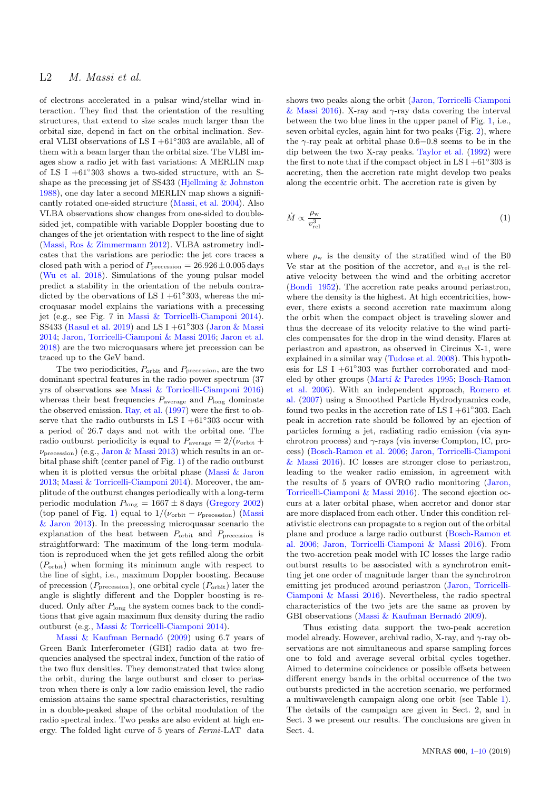of electrons accelerated in a pulsar wind/stellar wind interaction. They find that the orientation of the resulting structures, that extend to size scales much larger than the orbital size, depend in fact on the orbital inclination. Several VLBI observations of LS I +61◦ 303 are available, all of them with a beam larger than the orbital size. The VLBI images show a radio jet with fast variations: A MERLIN map of LS I +61◦ 303 shows a two-sided structure, with an Sshape as the precessing jet of SS433 [\(Hjellming & Johnston](#page-8-6) [1988\)](#page-8-6), one day later a second MERLIN map shows a significantly rotated one-sided structure [\(Massi, et al.](#page-8-7) [2004\)](#page-8-7). Also VLBA observations show changes from one-sided to doublesided jet, compatible with variable Doppler boosting due to changes of the jet orientation with respect to the line of sight [\(Massi, Ros & Zimmermann](#page-9-6) [2012\)](#page-9-6). VLBA astrometry indicates that the variations are periodic: the jet core traces a closed path with a period of  $P_{\text{precession}} = 26.926 \pm 0.005 \,\text{days}$ [\(Wu et al.](#page-9-7) [2018\)](#page-9-7). Simulations of the young pulsar model predict a stability in the orientation of the nebula contradicted by the obervations of LS I + $61°303$ , whereas the microquasar model explains the variations with a precessing jet (e.g., see Fig. 7 in [Massi & Torricelli-Ciamponi](#page-9-8) [2014\)](#page-9-8). SS433 [\(Rasul et al.](#page-9-9) [2019\)](#page-9-9) and LS I +61°303 [\(Jaron & Massi](#page-8-8) [2014;](#page-8-8) [Jaron, Torricelli-Ciamponi & Massi](#page-8-9) [2016;](#page-8-9) [Jaron et al.](#page-8-10) [2018\)](#page-8-10) are the two microquasars where jet precession can be traced up to the GeV band.

The two periodicities,  $P_{\text{orbit}}$  and  $P_{\text{precession}}$ , are the two dominant spectral features in the radio power spectrum (37 yrs of observations see [Massi & Torricelli-Ciamponi](#page-9-10) [2016\)](#page-9-10) whereas their beat frequencies  $P_{\text{average}}$  and  $P_{\text{long}}$  dominate the observed emission. [Ray, et al.](#page-9-11) [\(1997\)](#page-9-11) were the first to observe that the radio outbursts in LS I + $61°303$  occur with a period of 26.7 days and not with the orbital one. The radio outburst periodicity is equal to  $P_{\text{average}} = 2/(\nu_{\text{orbit}} +$  $\nu_{\text{precession}}$ ) (e.g., [Jaron & Massi](#page-8-11) [2013\)](#page-8-11) which results in an orbital phase shift (center panel of Fig. [1\)](#page-2-0) of the radio outburst when it is plotted versus the orbital phase [\(Massi & Jaron](#page-9-12) [2013;](#page-9-12) [Massi & Torricelli-Ciamponi](#page-9-8) [2014\)](#page-9-8). Moreover, the amplitude of the outburst changes periodically with a long-term periodic modulation  $P_{\text{long}} = 1667 \pm 8 \text{ days}$  [\(Gregory](#page-8-1) [2002\)](#page-8-1) (top panel of Fig. [1\)](#page-2-0) equal to  $1/(\nu_{\rm orbit} - \nu_{\rm precession})$  [\(Massi](#page-9-12) [& Jaron](#page-9-12) [2013\)](#page-9-12). In the precessing microquasar scenario the explanation of the beat between  $P_{\text{orbit}}$  and  $P_{\text{precession}}$  is straightforward: The maximum of the long-term modulation is reproduced when the jet gets refilled along the orbit  $(P_{\text{orbit}})$  when forming its minimum angle with respect to the line of sight, i.e., maximum Doppler boosting. Because of precession ( $P_{\text{precession}}$ ), one orbital cycle ( $P_{\text{orbit}}$ ) later the angle is slightly different and the Doppler boosting is reduced. Only after  $P_{\text{long}}$  the system comes back to the conditions that give again maximum flux density during the radio outburst (e.g., [Massi & Torricelli-Ciamponi](#page-9-8) [2014\)](#page-9-8).

Massi  $& Kaufman\t Bernadó (2009) using 6.7 years of$  $& Kaufman\t Bernadó (2009) using 6.7 years of$  $& Kaufman\t Bernadó (2009) using 6.7 years of$ Green Bank Interferometer (GBI) radio data at two frequencies analysed the spectral index, function of the ratio of the two flux densities. They demonstrated that twice along the orbit, during the large outburst and closer to periastron when there is only a low radio emission level, the radio emission attains the same spectral characteristics, resulting in a double-peaked shape of the orbital modulation of the radio spectral index. Two peaks are also evident at high energy. The folded light curve of 5 years of Fermi-LAT data

shows two peaks along the orbit [\(Jaron, Torricelli-Ciamponi](#page-8-9) [& Massi](#page-8-9) [2016\)](#page-8-9). X-ray and  $\gamma$ -ray data covering the interval between the two blue lines in the upper panel of Fig. [1,](#page-2-0) i.e., seven orbital cycles, again hint for two peaks (Fig. [2\)](#page-2-1), where the  $\gamma$ -ray peak at orbital phase 0.6–0.8 seems to be in the dip between the two X-ray peaks. [Taylor et al.](#page-9-13) [\(1992\)](#page-9-13) were the first to note that if the compact object in LS I +61 $\degree$ 303 is accreting, then the accretion rate might develop two peaks along the eccentric orbit. The accretion rate is given by

$$
\dot{M} \propto \frac{\rho_{\rm w}}{v_{\rm rel}^3} \tag{1}
$$

where  $\rho_w$  is the density of the stratified wind of the B0 Ve star at the position of the accretor, and  $v_{\text{rel}}$  is the relative velocity between the wind and the orbiting accretor [\(Bondi](#page-8-12) [1952\)](#page-8-12). The accretion rate peaks around periastron, where the density is the highest. At high eccentricities, however, there exists a second accretion rate maximum along the orbit when the compact object is traveling slower and thus the decrease of its velocity relative to the wind particles compensates for the drop in the wind density. Flares at periastron and apastron, as observed in Circinus X-1, were explained in a similar way [\(Tudose et al.](#page-9-14) [2008\)](#page-9-14). This hypothesis for LS I +61◦ 303 was further corroborated and mod-eled by other groups (Martí & Paredes [1995;](#page-8-13) [Bosch-Ramon](#page-8-14) [et al.](#page-8-14) [2006\)](#page-8-14). With an independent approach, [Romero et](#page-9-15) [al.](#page-9-15) [\(2007\)](#page-9-15) using a Smoothed Particle Hydrodynamics code, found two peaks in the accretion rate of LS I + $61°303$ . Each peak in accretion rate should be followed by an ejection of particles forming a jet, radiating radio emission (via synchrotron process) and  $\gamma$ -rays (via inverse Compton, IC, process) [\(Bosch-Ramon et al.](#page-8-14) [2006;](#page-8-14) [Jaron, Torricelli-Ciamponi](#page-8-9) [& Massi](#page-8-9) [2016\)](#page-8-9). IC losses are stronger close to periastron, leading to the weaker radio emission, in agreement with the results of 5 years of OVRO radio monitoring [\(Jaron,](#page-8-9) [Torricelli-Ciamponi & Massi](#page-8-9) [2016\)](#page-8-9). The second ejection occurs at a later orbital phase, when accretor and donor star are more displaced from each other. Under this condition relativistic electrons can propagate to a region out of the orbital plane and produce a large radio outburst [\(Bosch-Ramon et](#page-8-14) [al.](#page-8-14) [2006;](#page-8-14) [Jaron, Torricelli-Ciamponi & Massi](#page-8-9) [2016\)](#page-8-9). From the two-accretion peak model with IC losses the large radio outburst results to be associated with a synchrotron emitting jet one order of magnitude larger than the synchrotron emitting jet produced around periastron [\(Jaron, Torricelli-](#page-8-9)[Ciamponi & Massi](#page-8-9) [2016\)](#page-8-9). Nevertheless, the radio spectral characteristics of the two jets are the same as proven by GBI observations (Massi  $&$  Kaufman Bernadó [2009\)](#page-8-5).

Thus existing data support the two-peak accretion model already. However, archival radio, X-ray, and  $\gamma$ -ray observations are not simultaneous and sparse sampling forces one to fold and average several orbital cycles together. Aimed to determine coincidence or possible offsets between different energy bands in the orbital occurrence of the two outbursts predicted in the accretion scenario, we performed a multiwavelength campaign along one orbit (see Table [1\)](#page-2-2). The details of the campaign are given in Sect. 2, and in Sect. 3 we present our results. The conclusions are given in Sect. 4.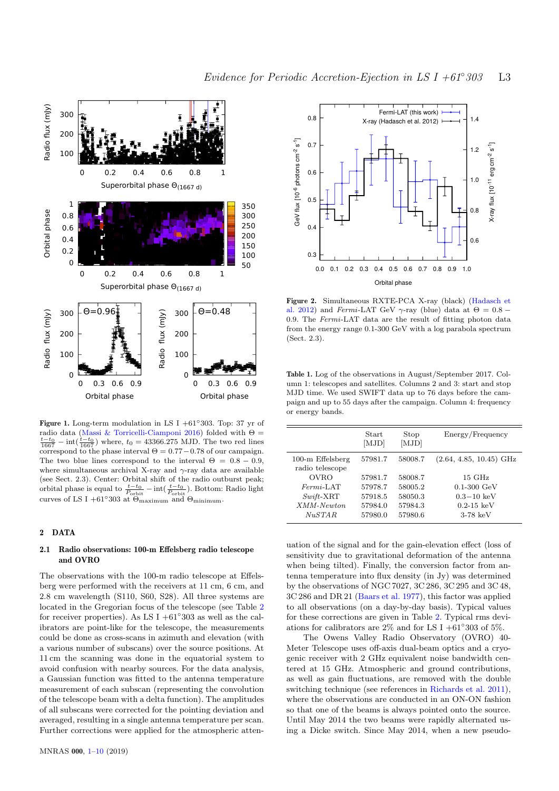

<span id="page-2-0"></span>Figure 1. Long-term modulation in LS I +61◦303. Top: 37 yr of radio data [\(Massi & Torricelli-Ciamponi](#page-9-10) [2016\)](#page-9-10) folded with  $\Theta =$  $\frac{t-t_0}{1667}$  – int $(\frac{t-t_0}{1667})$  where,  $t_0 = 43366.275$  MJD. The two red lines correspond to the phase interval  $\Theta = 0.77 - 0.78$  of our campaign. The two blue lines correspond to the interval  $\Theta = 0.8 - 0.9$ , where simultaneous archival X-ray and  $\gamma$ -ray data are available (see Sect. 2.3). Center: Orbital shift of the radio outburst peak; orbital phase is equal to  $\frac{t-t_0}{P_{\text{orbit}}} - \text{int}(\frac{t-t_0}{P_{\text{orbit}}})$ . Bottom: Radio light curves of LS I +61°303 at  $\Theta_{\text{maximum}}$  and  $\Theta_{\text{minimum}}$ .

## 2 DATA

## 2.1 Radio observations: 100-m Effelsberg radio telescope and OVRO

Fig. 3. The set of the set of the set of the set of the set of the set of the set of the set of the set of the set of the set of the set of the set of the set of the set of the set of the set of the set of the set of the The observations with the 100-m radio telescope at Effelsberg were performed with the receivers at 11 cm, 6 cm, and 2.8 cm wavelength (S110, S60, S28). All three systems are located in the Gregorian focus of the telescope (see Table [2](#page-3-0) for receiver properties). As LS I  $+61°303$  as well as the calibrators are point-like for the telescope, the measurements could be done as cross-scans in azimuth and elevation (with a various number of subscans) over the source positions. At 11 cm the scanning was done in the equatorial system to avoid confusion with nearby sources. For the data analysis, a Gaussian function was fitted to the antenna temperature measurement of each subscan (representing the convolution of the telescope beam with a delta function). The amplitudes of all subscans were corrected for the pointing deviation and averaged, resulting in a single antenna temperature per scan. Further corrections were applied for the atmospheric atten-



<span id="page-2-1"></span>Figure 2. Simultaneous RXTE-PCA X-ray (black) [\(Hadasch et](#page-8-15) [al.](#page-8-15) [2012\)](#page-8-15) and Fermi-LAT GeV  $\gamma$ -ray (blue) data at  $\Theta = 0.8$  – 0.9. The Fermi-LAT data are the result of fitting photon data from the energy range 0.1-300 GeV with a log parabola spectrum (Sect. 2.3).

<span id="page-2-2"></span>Table 1. Log of the observations in August/September 2017. Column 1: telescopes and satellites. Columns 2 and 3: start and stop MJD time. We used SWIFT data up to 76 days before the campaign and up to 55 days after the campaign. Column 4: frequency or energy bands.

|                                       | <b>Start</b><br>[MJD] | Stop<br>[MJD] | Energy/Frequency          |
|---------------------------------------|-----------------------|---------------|---------------------------|
| $100-m$ Effelsberg<br>radio telescope | 57981.7               | 58008.7       | $(2.64, 4.85, 10.45)$ GHz |
| <b>OVRO</b>                           | 57981.7               | 58008.7       | $15\ \mathrm{GHz}$        |
| $Fermi$ -LAT                          | 57978.7               | 58005.2       | $0.1 - 300 \text{ GeV}$   |
| $Switch$ - $XRT$                      | 57918.5               | 58050.3       | $0.3 - 10~{\rm keV}$      |
| XMM-Newton                            | 57984.0               | 57984.3       | $0.2 - 15 \text{ keV}$    |
| NuSTAR                                | 57980.0               | 57980.6       | $3-78~{\rm keV}$          |
|                                       |                       |               |                           |

uation of the signal and for the gain-elevation effect (loss of sensitivity due to gravitational deformation of the antenna when being tilted). Finally, the conversion factor from antenna temperature into flux density (in Jy) was determined by the observations of NGC 7027, 3C 286, 3C 295 and 3C 48, 3C 286 and DR 21 [\(Baars et al.](#page-8-16) [1977\)](#page-8-16), this factor was applied to all observations (on a day-by-day basis). Typical values for these corrections are given in Table [2.](#page-3-0) Typical rms deviations for calibrators are 2% and for LS I +61°303 of 5%.

The Owens Valley Radio Observatory (OVRO) 40- Meter Telescope uses off-axis dual-beam optics and a cryogenic receiver with 2 GHz equivalent noise bandwidth centered at 15 GHz. Atmospheric and ground contributions, as well as gain fluctuations, are removed with the double switching technique (see references in [Richards et al.](#page-9-16) [2011\)](#page-9-16), where the observations are conducted in an ON-ON fashion so that one of the beams is always pointed onto the source. Until May 2014 the two beams were rapidly alternated using a Dicke switch. Since May 2014, when a new pseudo-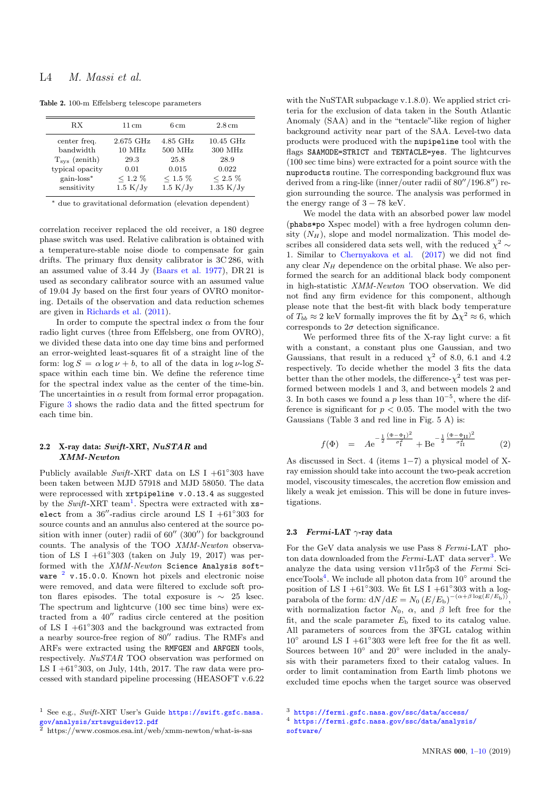<span id="page-3-0"></span>

|  |  |  |  | Table 2. 100-m Effelsberg telescope parameters |
|--|--|--|--|------------------------------------------------|
|--|--|--|--|------------------------------------------------|

| RX                     | $11 \,\mathrm{cm}$  | $6 \,\mathrm{cm}$ | $2.8 \,\mathrm{cm}$ |
|------------------------|---------------------|-------------------|---------------------|
| center freq.           | $2.675$ GHz         | $4.85$ GHz        | $10.45$ GHz         |
| bandwidth              | $10$ MHz            | $500$ MHz         | 300 MHz             |
| $T_{\rm sys}$ (zenith) | 29.3                | 25.8              | 28.9                |
| typical opacity        | 0.01                | 0.015             | 0.022               |
| $gain$ - $loss^*$      | $< 1.2 \%$          | $< 1.5 \%$        | $< 2.5 \%$          |
| sensitivity            | $1.5 \mathrm{K/Jy}$ | 1.5 K/Jy          | $1.35 \text{ K/Jy}$ |

<sup>∗</sup> due to gravitational deformation (elevation dependent)

correlation receiver replaced the old receiver, a 180 degree phase switch was used. Relative calibration is obtained with a temperature-stable noise diode to compensate for gain drifts. The primary flux density calibrator is 3C 286, with an assumed value of 3.44 Jy [\(Baars et al.](#page-8-16) [1977\)](#page-8-16), DR 21 is used as secondary calibrator source with an assumed value of 19.04 Jy based on the first four years of OVRO monitoring. Details of the observation and data reduction schemes are given in [Richards et al.](#page-9-16) [\(2011\)](#page-9-16).

In order to compute the spectral index  $\alpha$  from the four radio light curves (three from Effelsberg, one from OVRO), we divided these data into one day time bins and performed an error-weighted least-squares fit of a straight line of the form:  $\log S = \alpha \log \nu + b$ , to all of the data in  $\log \nu$ -log Sspace within each time bin. We define the reference time for the spectral index value as the center of the time-bin. The uncertainties in  $\alpha$  result from formal error propagation. Figure [3](#page-4-0) shows the radio data and the fitted spectrum for each time bin.

## 2.2 X-ray data: Swift-XRT, NuSTAR and XMM-Newton

Publicly available  $Swift$ -XRT data on LS I +61°303 have been taken between MJD 57918 and MJD 58050. The data were reprocessed with xrtpipeline v.0.13.4 as suggested by the  $Swift$ -XRT team<sup>[1](#page-3-1)</sup>. Spectra were extracted with  $xs$ elect from a  $36''$ -radius circle around LS I +61°303 for source counts and an annulus also centered at the source position with inner (outer) radii of  $60''$  (300") for background counts. The analysis of the TOO XMM-Newton observation of LS I  $+61°303$  (taken on July 19, 2017) was performed with the XMM-Newton Science Analysis software  $2$  v.15.0.0. Known hot pixels and electronic noise were removed, and data were filtered to exclude soft proton flares episodes. The total exposure is ∼ 25 ksec. The spectrum and lightcurve (100 sec time bins) were extracted from a  $40^{\prime\prime}$  radius circle centered at the position of LS I +61◦ 303 and the background was extracted from a nearby source-free region of  $80''$  radius. The RMFs and ARFs were extracted using the RMFGEN and ARFGEN tools, respectively. NuSTAR TOO observation was performed on LS I  $+61°303$ , on July, 14th, 2017. The raw data were processed with standard pipeline processing (HEASOFT v.6.22

<span id="page-3-1"></span><sup>1</sup> See e.g., Swift-XRT User's Guide  $https://switchsystc.nasa.$ [gov/analysis/xrtswguidev12.pdf](https://swift.gsfc.nasa.gov/analysis/xrtswguidev1 2.pdf )

with the NuSTAR subpackage v.1.8.0). We applied strict criteria for the exclusion of data taken in the South Atlantic Anomaly (SAA) and in the "tentacle"-like region of higher background activity near part of the SAA. Level-two data products were produced with the nupipeline tool with the flags SAAMODE=STRICT and TENTACLE=yes. The lightcurves (100 sec time bins) were extracted for a point source with the nuproducts routine. The corresponding background flux was derived from a ring-like (inner/outer radii of  $80''/196.8''$ ) region surrounding the source. The analysis was performed in the energy range of  $3 - 78$  keV.

We model the data with an absorbed power law model (phabs\*po Xspec model) with a free hydrogen column density  $(N_H)$ , slope and model normalization. This model describes all considered data sets well, with the reduced  $\chi^2 \sim$ 1. Similar to [Chernyakova et al.](#page-8-17) [\(2017\)](#page-8-17) we did not find any clear  $N_H$  dependence on the orbital phase. We also performed the search for an additional black body component in high-statistic XMM-Newton TOO observation. We did not find any firm evidence for this component, although please note that the best-fit with black body temperature of  $T_{bb} \approx 2$  keV formally improves the fit by  $\Delta \chi^2 \approx 6$ , which corresponds to  $2\sigma$  detection significance.

We performed three fits of the X-ray light curve: a fit with a constant, a constant plus one Gaussian, and two Gaussians, that result in a reduced  $\chi^2$  of 8.0, 6.1 and 4.2 respectively. To decide whether the model 3 fits the data better than the other models, the difference- $\chi^2$  test was performed between models 1 and 3, and between models 2 and 3. In both cases we found a p less than  $10^{-5}$ , where the difference is significant for  $p < 0.05$ . The model with the two Gaussians (Table 3 and red line in Fig. 5 A) is:

$$
f(\Phi) = Ae^{-\frac{1}{2}\frac{(\Phi - \Phi_{\text{I}})^2}{\sigma_{\text{I}}^2}} + Be^{-\frac{1}{2}\frac{(\Phi - \Phi_{\text{II}})^2}{\sigma_{\text{II}}^2}}
$$
(2)

As discussed in Sect. 4 (items 1−7) a physical model of Xray emission should take into account the two-peak accretion model, viscousity timescales, the accretion flow emission and likely a weak jet emission. This will be done in future investigations.

#### 2.3 Fermi-LAT  $\gamma$ -ray data

For the GeV data analysis we use Pass 8 Fermi-LAT photon data downloaded from the  $Fermi$ -LAT data server<sup>[3](#page-3-3)</sup>. We analyze the data using version v11r5p3 of the Fermi Sci-enceTools<sup>[4](#page-3-4)</sup>. We include all photon data from  $10^{\circ}$  around the position of LS I +61°303. We fit LS I +61°303 with a logparabola of the form:  $dN/dE = N_0 (E/E_b)^{-(\alpha+\beta \log(E/E_b))}$ , with normalization factor  $N_0$ ,  $\alpha$ , and  $\beta$  left free for the fit, and the scale parameter  $E<sub>b</sub>$  fixed to its catalog value. All parameters of sources from the 3FGL catalog within  $10^{\circ}$  around LS I +61°303 were left free for the fit as well. Sources between  $10°$  and  $20°$  were included in the analysis with their parameters fixed to their catalog values. In order to limit contamination from Earth limb photons we excluded time epochs when the target source was observed

<span id="page-3-2"></span><sup>2</sup> https://www.cosmos.esa.int/web/xmm-newton/what-is-sas

<span id="page-3-4"></span><span id="page-3-3"></span><sup>3</sup> <https://fermi.gsfc.nasa.gov/ssc/data/access/>

<sup>4</sup> [https://fermi.gsfc.nasa.gov/ssc/data/analysis/](https://fermi.gsfc.nasa.gov/ssc/data/analysis/software/)

[software/](https://fermi.gsfc.nasa.gov/ssc/data/analysis/software/)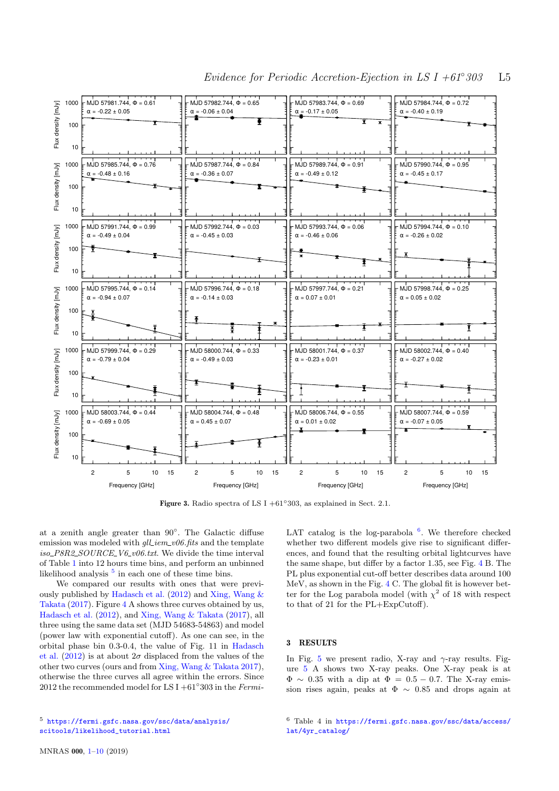

Figure 3. Radio spectra of LS I +61°303, as explained in Sect. 2.1.

at a zenith angle greater than 90◦ . The Galactic diffuse emission was modeled with  $\ell_l$  iem v06.fits and the template  $iso_{P8R2_{S}OURCE_{V6_v06.txt}$ . We divide the time interval of Table [1](#page-2-2) into 12 hours time bins, and perform an unbinned likelihood analysis  $5$  in each one of these time bins.

We compared our results with ones that were previously published by [Hadasch et al.](#page-8-15) [\(2012\)](#page-8-15) and [Xing, Wang &](#page-9-17) [Takata](#page-9-17) [\(2017\)](#page-9-17). Figure [4](#page-5-0) A shows three curves obtained by us, [Hadasch et al.](#page-8-15) [\(2012\)](#page-8-15), and [Xing, Wang & Takata](#page-9-17) [\(2017\)](#page-9-17), all three using the same data set (MJD 54683-54863) and model (power law with exponential cutoff). As one can see, in the orbital phase bin 0.3-0.4, the value of Fig. 11 in [Hadasch](#page-8-15) [et al.](#page-8-15) [\(2012\)](#page-8-15) is at about  $2\sigma$  displaced from the values of the other two curves (ours and from [Xing, Wang & Takata](#page-9-17) [2017\)](#page-9-17), otherwise the three curves all agree within the errors. Since 2012 the recommended model for LS I +61 $^{\circ}$ 303 in the Fermi-

<span id="page-4-0"></span>LAT catalog is the log-parabola  $6$ . We therefore checked whether two different models give rise to significant differences, and found that the resulting orbital lightcurves have the same shape, but differ by a factor 1.35, see Fig. [4](#page-5-0) B. The PL plus exponential cut-off better describes data around 100 MeV, as shown in the Fig. [4](#page-5-0) C. The global fit is however better for the Log parabola model (with  $\chi^2$  of 18 with respect to that of 21 for the PL+ExpCutoff).

## 3 RESULTS

In Fig. [5](#page-5-1) we present radio, X-ray and  $\gamma$ -ray results. Figure [5](#page-5-1) A shows two X-ray peaks. One X-ray peak is at  $\Phi \sim 0.35$  with a dip at  $\Phi = 0.5 - 0.7$ . The X-ray emission rises again, peaks at  $\Phi \sim 0.85$  and drops again at

<span id="page-4-2"></span><sup>6</sup> Table 4 in [https://fermi.gsfc.nasa.gov/ssc/data/access/](https://fermi.gsfc.nasa.gov/ssc/data/access/lat/4yr_catalog/) [lat/4yr\\_catalog/](https://fermi.gsfc.nasa.gov/ssc/data/access/lat/4yr_catalog/)

<span id="page-4-1"></span><sup>5</sup> [https://fermi.gsfc.nasa.gov/ssc/data/analysis/](https://fermi.gsfc.nasa.gov/ssc/data/analysis/scitools/likelihood_tutorial.html) [scitools/likelihood\\_tutorial.html](https://fermi.gsfc.nasa.gov/ssc/data/analysis/scitools/likelihood_tutorial.html)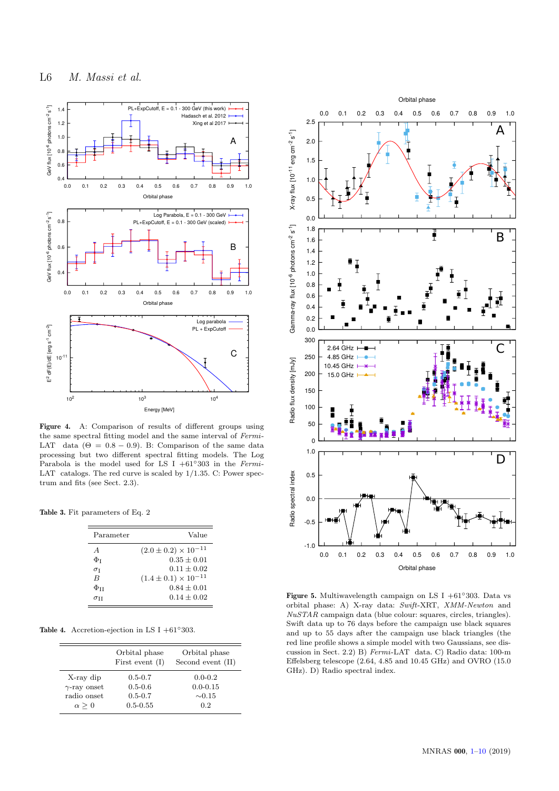![](_page_5_Figure_1.jpeg)

Figure 4. A: Comparison of results of different groups using the same spectral fitting model and the same interval of Fermi-LAT data  $(\Theta = 0.8 - 0.9)$ . B: Comparison of the same data processing but two different spectral fitting models. The Log Parabola is the model used for LS I +61◦303 in the Fermi-LAT catalogs. The red curve is scaled by  $1/1.35$ . C: Power spectrum and fits (see Sect. 2.3).

Table 3. Fit parameters of Eq. 2

| Parameter            | Value                           |
|----------------------|---------------------------------|
| A                    | $(2.0 \pm 0.2) \times 10^{-11}$ |
| $\Phi_{\text{I}}$    | $0.35 + 0.01$                   |
| $\sigma_{\rm I}$     | $0.11 + 0.02$                   |
| B                    | $(1.4 \pm 0.1) \times 10^{-11}$ |
| $\Phi_{\texttt{II}}$ | $0.84 + 0.01$                   |
| $\sigma$ ti          | $0.14 + 0.02$                   |

<span id="page-5-2"></span>Table 4. Accretion-ejection in LS I +61°303.

|                     | Orbital phase<br>First event $(I)$ | Orbital phase<br>Second event (II) |
|---------------------|------------------------------------|------------------------------------|
| X-ray dip           | $0.5 - 0.7$                        | $0.0 - 0.2$                        |
| $\gamma$ -ray onset | $0.5 - 0.6$                        | $0.0 - 0.15$                       |
| radio onset         | $0.5 - 0.7$                        | $\sim 0.15$                        |
| $\alpha > 0$        | $0.5 - 0.55$                       | 0.2                                |

![](_page_5_Figure_7.jpeg)

<span id="page-5-1"></span><span id="page-5-0"></span>Figure 5. Multiwavelength campaign on LS I +61 $\degree$ 303. Data vs orbital phase: A) X-ray data: Swift-XRT, XMM-Newton and NuSTAR campaign data (blue colour: squares, circles, triangles). Swift data up to 76 days before the campaign use black squares and up to 55 days after the campaign use black triangles (the red line profile shows a simple model with two Gaussians, see discussion in Sect. 2.2) B) Fermi-LAT data. C) Radio data: 100-m Effelsberg telescope (2.64, 4.85 and 10.45 GHz) and OVRO (15.0 GHz). D) Radio spectral index.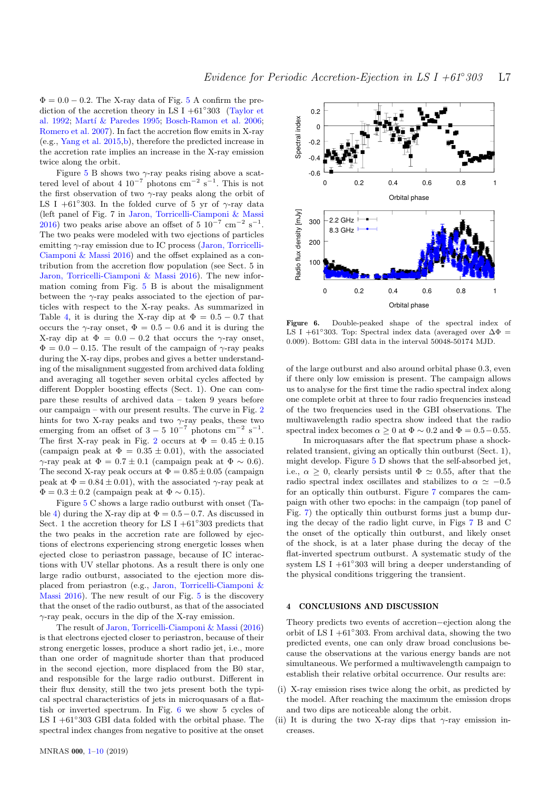$\Phi = 0.0 - 0.2$ . The X-ray data of Fig. [5](#page-5-1) A confirm the prediction of the accretion theory in LS I +61◦ 303 [\(Taylor et](#page-9-13) [al.](#page-9-13) [1992;](#page-9-13) Martí & Paredes [1995;](#page-8-13) [Bosch-Ramon et al.](#page-8-14) [2006;](#page-8-14) [Romero et al.](#page-9-15) [2007\)](#page-9-15). In fact the accretion flow emits in X-ray (e.g., [Yang et al.](#page-9-18) [2015](#page-9-18)[,b\)](#page-9-19), therefore the predicted increase in the accretion rate implies an increase in the X-ray emission twice along the orbit.

Figure [5](#page-5-1) B shows two  $\gamma$ -ray peaks rising above a scattered level of about 4  $10^{-7}$  photons cm<sup>-2</sup> s<sup>-1</sup>. This is not the first observation of two  $\gamma$ -ray peaks along the orbit of LS I +61°303. In the folded curve of 5 yr of  $\gamma$ -ray data (left panel of Fig. 7 in [Jaron, Torricelli-Ciamponi & Massi](#page-8-9) [2016\)](#page-8-9) two peaks arise above an offset of  $5 \times 10^{-7} \text{ cm}^{-2} \text{ s}^{-1}$ . The two peaks were modeled with two ejections of particles emitting  $\gamma$ -ray emission due to IC process [\(Jaron, Torricelli-](#page-8-9)[Ciamponi & Massi](#page-8-9) [2016\)](#page-8-9) and the offset explained as a contribution from the accretion flow population (see Sect. 5 in [Jaron, Torricelli-Ciamponi & Massi](#page-8-9) [2016\)](#page-8-9). The new information coming from Fig. [5](#page-5-1) B is about the misalignment between the  $\gamma$ -ray peaks associated to the ejection of particles with respect to the X-ray peaks. As summarized in Table [4,](#page-5-2) it is during the X-ray dip at  $\Phi = 0.5 - 0.7$  that occurs the  $\gamma$ -ray onset,  $\Phi = 0.5 - 0.6$  and it is during the X-ray dip at  $\Phi = 0.0 - 0.2$  that occurs the  $\gamma$ -ray onset,  $\Phi = 0.0 - 0.15$ . The result of the campaign of  $\gamma$ -ray peaks during the X-ray dips, probes and gives a better understanding of the misalignment suggested from archived data folding and averaging all together seven orbital cycles affected by different Doppler boosting effects (Sect. 1). One can compare these results of archived data – taken 9 years before our campaign – with our present results. The curve in Fig. [2](#page-2-1) hints for two X-ray peaks and two  $\gamma$ -ray peaks, these two emerging from an offset of  $3-5$   $10^{-7}$  photons cm<sup>-2</sup> s<sup>-1</sup>. The first X-ray peak in Fig. [2](#page-2-1) occurs at  $\Phi = 0.45 \pm 0.15$ (campaign peak at  $\Phi = 0.35 \pm 0.01$ ), with the associated  $\gamma$ -ray peak at  $\Phi = 0.7 \pm 0.1$  (campaign peak at  $\Phi \sim 0.6$ ). The second X-ray peak occurs at  $\Phi = 0.85 \pm 0.05$  (campaign peak at  $\Phi = 0.84 \pm 0.01$ , with the associated  $\gamma$ -ray peak at  $\Phi = 0.3 \pm 0.2$  (campaign peak at  $\Phi \sim 0.15$ ).

Figure [5](#page-5-1) C shows a large radio outburst with onset (Ta-ble [4\)](#page-5-2) during the X-ray dip at  $\Phi = 0.5 - 0.7$ . As discussed in Sect. 1 the accretion theory for LS I  $+61°303$  predicts that the two peaks in the accretion rate are followed by ejections of electrons experiencing strong energetic losses when ejected close to periastron passage, because of IC interactions with UV stellar photons. As a result there is only one large radio outburst, associated to the ejection more displaced from periastron (e.g., [Jaron, Torricelli-Ciamponi &](#page-8-9) [Massi](#page-8-9) [2016\)](#page-8-9). The new result of our Fig. [5](#page-5-1) is the discovery that the onset of the radio outburst, as that of the associated  $\gamma$ -ray peak, occurs in the dip of the X-ray emission.

The result of [Jaron, Torricelli-Ciamponi & Massi](#page-8-9) [\(2016\)](#page-8-9) is that electrons ejected closer to periastron, because of their strong energetic losses, produce a short radio jet, i.e., more than one order of magnitude shorter than that produced in the second ejection, more displaced from the B0 star, and responsible for the large radio outburst. Different in their flux density, still the two jets present both the typical spectral characteristics of jets in microquasars of a flattish or inverted spectrum. In Fig. [6](#page-6-0) we show 5 cycles of LS I +61°303 GBI data folded with the orbital phase. The spectral index changes from negative to positive at the onset

![](_page_6_Figure_6.jpeg)

<span id="page-6-0"></span>Figure 6. Double-peaked shape of the spectral index of LS I +61°303. Top: Spectral index data (averaged over  $\Delta \Phi$  = 0.009). Bottom: GBI data in the interval 50048-50174 MJD.

of the large outburst and also around orbital phase 0.3, even if there only low emission is present. The campaign allows us to analyse for the first time the radio spectral index along one complete orbit at three to four radio frequencies instead of the two frequencies used in the GBI observations. The multiwavelength radio spectra show indeed that the radio spectral index becomes  $\alpha \geq 0$  at  $\Phi \sim 0.2$  and  $\Phi = 0.5-0.55$ .

In microquasars after the flat spectrum phase a shockrelated transient, giving an optically thin outburst (Sect. 1), might develop. Figure [5](#page-5-1) D shows that the self-absorbed jet, i.e.,  $\alpha > 0$ , clearly persists until  $\Phi \simeq 0.55$ , after that the radio spectral index oscillates and stabilizes to  $\alpha \approx -0.5$ for an optically thin outburst. Figure [7](#page-7-1) compares the campaign with other two epochs: in the campaign (top panel of Fig. [7\)](#page-7-1) the optically thin outburst forms just a bump during the decay of the radio light curve, in Figs [7](#page-7-1) B and C the onset of the optically thin outburst, and likely onset of the shock, is at a later phase during the decay of the flat-inverted spectrum outburst. A systematic study of the system LS I  $+61°303$  will bring a deeper understanding of the physical conditions triggering the transient.

### 4 CONCLUSIONS AND DISCUSSION

Theory predicts two events of accretion−ejection along the orbit of LS I  $+61°303$ . From archival data, showing the two predicted events, one can only draw broad conclusions because the observations at the various energy bands are not simultaneous. We performed a multiwavelength campaign to establish their relative orbital occurrence. Our results are:

- (i) X-ray emission rises twice along the orbit, as predicted by the model. After reaching the maximum the emission drops and two dips are noticeable along the orbit.
- (ii) It is during the two X-ray dips that  $\gamma$ -ray emission increases.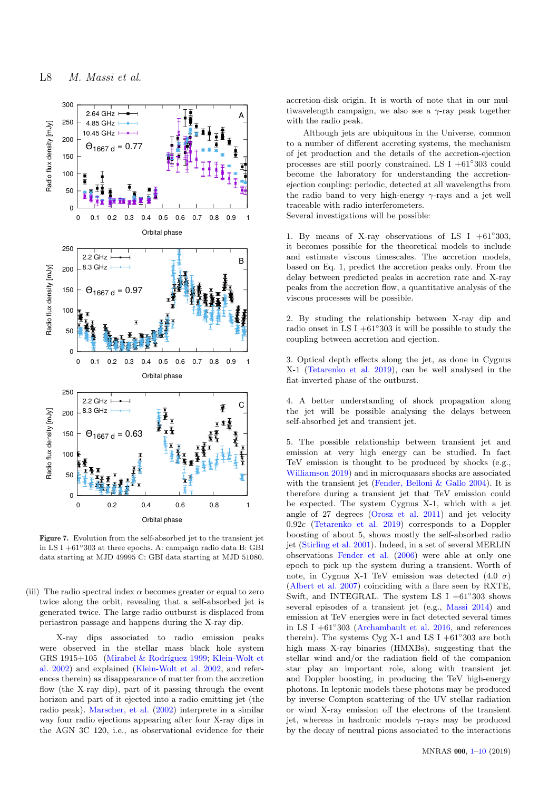![](_page_7_Figure_1.jpeg)

Figure 7. Evolution from the self-absorbed jet to the transient jet in LS I +61◦303 at three epochs. A: campaign radio data B: GBI data starting at MJD 49995 C: GBI data starting at MJD 51080.

<span id="page-7-0"></span>(iii) The radio spectral index  $\alpha$  becomes greater or equal to zero twice along the orbit, revealing that a self-absorbed jet is generated twice. The large radio outburst is displaced from periastron passage and happens during the X-ray dip.

X-ray dips associated to radio emission peaks were observed in the stellar mass black hole system GRS 1915+105 (Mirabel & Rodríguez [1999;](#page-9-20) [Klein-Wolt et](#page-8-18) [al.](#page-8-18) [2002\)](#page-8-18) and explained [\(Klein-Wolt et al.](#page-8-18) [2002,](#page-8-18) and references therein) as disappearance of matter from the accretion flow (the X-ray dip), part of it passing through the event horizon and part of it ejected into a radio emitting jet (the radio peak). [Marscher, et al.](#page-8-19) [\(2002\)](#page-8-19) interprete in a similar way four radio ejections appearing after four X-ray dips in the AGN 3C 120, i.e., as observational evidence for their accretion-disk origin. It is worth of note that in our multiwavelength campaign, we also see a  $\gamma$ -ray peak together with the radio peak.

Although jets are ubiquitous in the Universe, common to a number of different accreting systems, the mechanism of jet production and the details of the accretion-ejection processes are still poorly constrained. LS I +61◦ 303 could become the laboratory for understanding the accretionejection coupling: periodic, detected at all wavelengths from the radio band to very high-energy  $\gamma$ -rays and a jet well traceable with radio interferometers.

Several investigations will be possible:

1. By means of X-ray observations of LS I  $+61°303$ , it becomes possible for the theoretical models to include and estimate viscous timescales. The accretion models, based on Eq. 1, predict the accretion peaks only. From the delay between predicted peaks in accretion rate and X-ray peaks from the accretion flow, a quantitative analysis of the viscous processes will be possible.

2. By studing the relationship between X-ray dip and radio onset in LS I  $+61°303$  it will be possible to study the coupling between accretion and ejection.

3. Optical depth effects along the jet, as done in Cygnus X-1 [\(Tetarenko et al.](#page-9-21) [2019\)](#page-9-21), can be well analysed in the flat-inverted phase of the outburst.

4. A better understanding of shock propagation along the jet will be possible analysing the delays between self-absorbed jet and transient jet.

<span id="page-7-1"></span>5. The possible relationship between transient jet and emission at very high energy can be studied. In fact TeV emission is thought to be produced by shocks (e.g., [Williamson](#page-9-22) [2019\)](#page-9-22) and in microquasars shocks are associated with the transient jet [\(Fender, Belloni & Gallo](#page-8-20) [2004\)](#page-8-20). It is therefore during a transient jet that TeV emission could be expected. The system Cygnus X-1, which with a jet angle of 27 degrees [\(Orosz et al.](#page-9-23) [2011\)](#page-9-23) and jet velocity 0.92c [\(Tetarenko et al.](#page-9-21) [2019\)](#page-9-21) corresponds to a Doppler boosting of about 5, shows mostly the self-absorbed radio jet [\(Stirling et al.](#page-9-24) [2001\)](#page-9-24). Indeed, in a set of several MERLIN observations [Fender et al.](#page-8-21) [\(2006\)](#page-8-21) were able at only one epoch to pick up the system during a transient. Worth of note, in Cygnus X-1 TeV emission was detected  $(4.0 \sigma)$ [\(Albert et al.](#page-8-22) [2007\)](#page-8-22) coinciding with a flare seen by RXTE, Swift, and INTEGRAL. The system LS I  $+61°303$  shows several episodes of a transient jet (e.g., [Massi](#page-9-25) [2014\)](#page-9-25) and emission at TeV energies were in fact detected several times in LS I +61◦ 303 [\(Archambault et al.](#page-8-23) [2016,](#page-8-23) and references therein). The systems Cyg X-1 and LS I  $+61°303$  are both high mass X-ray binaries (HMXBs), suggesting that the stellar wind and/or the radiation field of the companion star play an important role, along with transient jet and Doppler boosting, in producing the TeV high-energy photons. In leptonic models these photons may be produced by inverse Compton scattering of the UV stellar radiation or wind X-ray emission off the electrons of the transient jet, whereas in hadronic models  $\gamma$ -rays may be produced by the decay of neutral pions associated to the interactions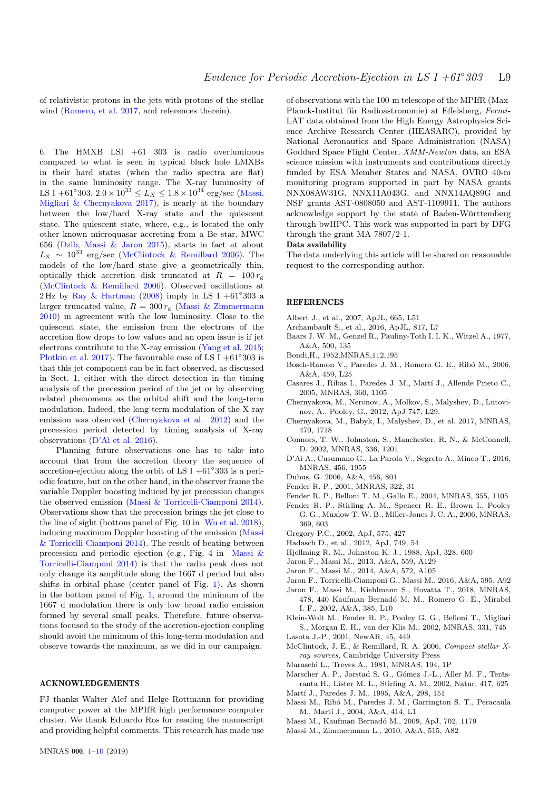of relativistic protons in the jets with protons of the stellar wind [\(Romero, et al.](#page-9-26) [2017,](#page-9-26) and references therein).

6. The HMXB LSI +61 303 is radio overluminous compared to what is seen in typical black hole LMXBs in their hard states (when the radio spectra are flat) in the same luminosity range. The X-ray luminosity of LS I +61°303,  $2.0 \times 10^{33} \le L_X \le 1.8 \times 10^{34}$  erg/sec [\(Massi,](#page-9-1) [Migliari & Chernyakova](#page-9-1) [2017\)](#page-9-1), is nearly at the boundary between the low/hard X-ray state and the quiescent state. The quiescent state, where, e.g., is located the only other known microquasar accreting from a Be star, MWC 656 [\(Dzib, Massi & Jaron](#page-9-27) [2015\)](#page-9-27), starts in fact at about  $L_X \sim 10^{33}$  erg/sec [\(McClintock & Remillard](#page-8-24) [2006\)](#page-8-24). The models of the low/hard state give a geometrically thin, optically thick accretion disk truncated at  $R = 100 r_{\rm g}$ [\(McClintock & Remillard](#page-8-24) [2006\)](#page-8-24). Observed oscillations at 2 Hz by [Ray & Hartman](#page-9-28)  $(2008)$  imply in LS I +61°303 a larger truncated value,  $R = 300 r<sub>g</sub>$  [\(Massi & Zimmermann](#page-8-25) [2010\)](#page-8-25) in agreement with the low luminosity. Close to the quiescent state, the emission from the electrons of the accretion flow drops to low values and an open issue is if jet electrons contribute to the X-ray emission [\(Yang et al.](#page-9-18) [2015;](#page-9-18) [Plotkin et al.](#page-9-29) [2017\)](#page-9-29). The favourable case of LS I +61 $^{\circ}303$  is that this jet component can be in fact observed, as discussed in Sect. 1, either with the direct detection in the timing analysis of the precession period of the jet or by observing related phenomena as the orbital shift and the long-term modulation. Indeed, the long-term modulation of the X-ray emission was observed [\(Chernyakova et al.](#page-8-26) [2012\)](#page-8-26) and the precession period detected by timing analysis of X-ray observations  $(D'A)$  et al. [2016\)](#page-8-27).

Planning future observations one has to take into account that from the accretion theory the sequence of accretion-ejection along the orbit of LS I  $+61°303$  is a periodic feature, but on the other hand, in the observer frame the variable Doppler boosting induced by jet precession changes the observed emission [\(Massi & Torricelli-Ciamponi](#page-9-8) [2014\)](#page-9-8). Observations show that the precession brings the jet close to the line of sight (bottom panel of Fig. 10 in [Wu et al.](#page-9-7) [2018\)](#page-9-7), inducing maximum Doppler boosting of the emission [\(Massi](#page-9-8) [& Torricelli-Ciamponi](#page-9-8) [2014\)](#page-9-8). The result of beating between precession and periodic ejection (e.g., Fig. 4 in [Massi &](#page-9-8) [Torricelli-Ciamponi](#page-9-8) [2014\)](#page-9-8) is that the radio peak does not only change its amplitude along the 1667 d period but also shifts in orbital phase (center panel of Fig. [1\)](#page-2-0). As shown in the bottom panel of Fig. [1,](#page-2-0) around the minimum of the 1667 d modulation there is only low broad radio emission formed by several small peaks. Therefore, future observations focused to the study of the accretion-ejection coupling should avoid the minimum of this long-term modulation and observe towards the maximum, as we did in our campaign.

#### ACKNOWLEDGEMENTS

FJ thanks Walter Alef and Helge Rottmann for providing computer power at the MPIfR high performance computer cluster. We thank Eduardo Ros for reading the manuscript and providing helpful comments. This research has made use

LAT data obtained from the High Energy Astrophysics Science Archive Research Center (HEASARC), provided by National Aeronautics and Space Administration (NASA) Goddard Space Flight Center, XMM-Newton data, an ESA science mission with instruments and contributions directly funded by ESA Member States and NASA, OVRO 40-m monitoring program supported in part by NASA grants NNX08AW31G, NNX11A043G, and NNX14AQ89G and NSF grants AST-0808050 and AST-1109911. The authors acknowledge support by the state of Baden-Württemberg through bwHPC. This work was supported in part by DFG through the grant MA 7807/2-1. Data availability The data underlying this article will be shared on reasonable

request to the corresponding author.

of observations with the 100-m telescope of the MPIfR (Max-Planck-Institut für Radioastronomie) at Effelsberg, Fermi-

#### **REFERENCES**

- <span id="page-8-22"></span>Albert J., et al., 2007, ApJL, 665, L51
- <span id="page-8-23"></span>Archambault S., et al., 2016, ApJL, 817, L7
- <span id="page-8-16"></span>Baars J. W. M., Genzel R., Pauliny-Toth I. I. K., Witzel A., 1977, A&A, 500, 135
- <span id="page-8-12"></span>Bondi,H., 1952,MNRAS,112,195
- <span id="page-8-14"></span>Bosch-Ramon V., Paredes J. M., Romero G. E., Ribó M., 2006, A&A, 459, L25
- <span id="page-8-0"></span>Casares J., Ribas I., Paredes J. M., Martí J., Allende Prieto C., 2005, MNRAS, 360, 1105
- <span id="page-8-26"></span>Chernyakova, M., Neronov, A., Molkov, S., Malyshev, D., Lutovinov, A., Pooley, G., 2012, ApJ 747, L29.
- <span id="page-8-17"></span>Chernyakova, M., Babyk, I., Malyshev, D., et al. 2017, MNRAS, 470, 1718
- <span id="page-8-4"></span>Connors, T. W., Johnston, S., Manchester, R. N., & McConnell, D. 2002, MNRAS, 336, 1201
- <span id="page-8-27"></span>D'Aì A., Cusumano G., La Parola V., Segreto A., Mineo T., 2016, MNRAS, 456, 1955
- <span id="page-8-3"></span>Dubus, G. 2006, A&A, 456, 801
- Fender R. P., 2001, MNRAS, 322, 31
- <span id="page-8-20"></span>Fender R. P., Belloni T. M., Gallo E., 2004, MNRAS, 355, 1105
- <span id="page-8-21"></span>Fender R. P., Stirling A. M., Spencer R. E., Brown I., Pooley G. G., Muxlow T. W. B., Miller-Jones J. C. A., 2006, MNRAS, 369, 603
- <span id="page-8-1"></span>Gregory P.C., 2002, ApJ, 575, 427
- <span id="page-8-15"></span>Hadasch D., et al., 2012, ApJ, 749, 54
- <span id="page-8-6"></span>Hjellming R. M., Johnston K. J., 1988, ApJ, 328, 600
- <span id="page-8-11"></span>Jaron F., Massi M., 2013, A&A, 559, A129
- <span id="page-8-8"></span>Jaron F., Massi M., 2014, A&A, 572, A105
- <span id="page-8-9"></span>Jaron F., Torricelli-Ciamponi G., Massi M., 2016, A&A, 595, A92
- <span id="page-8-10"></span>Jaron F., Massi M., Kiehlmann S., Hovatta T., 2018, MNRAS, 478, 440 Kaufman Bernadó M. M., Romero G. E., Mirabel I. F., 2002, A&A, 385, L10
- <span id="page-8-18"></span>Klein-Wolt M., Fender R. P., Pooley G. G., Belloni T., Migliari S., Morgan E. H., van der Klis M., 2002, MNRAS, 331, 745 Lasota J.-P., 2001, NewAR, 45, 449
- <span id="page-8-24"></span>McClintock, J. E., & Remillard, R. A. 2006, Compact stellar Xray sources, Cambridge University Press
- <span id="page-8-2"></span>Maraschi L., Treves A., 1981, MNRAS, 194, 1P
- <span id="page-8-19"></span>Marscher A. P., Jorstad S. G., Gómez J.-L., Aller M. F., Teräsranta H., Lister M. L., Stirling A. M., 2002, Natur, 417, 625
- <span id="page-8-13"></span>Martí J., Paredes J. M., 1995, A&A, 298, 151
- <span id="page-8-7"></span>Massi M., Ribó M., Paredes J. M., Garrington S. T., Peracaula M., Martí J., 2004, A&A, 414, L1
- <span id="page-8-5"></span>Massi M., Kaufman Bernadó M., 2009, ApJ, 702, 1179
- <span id="page-8-25"></span>Massi M., Zimmermann L., 2010, A&A, 515, A82